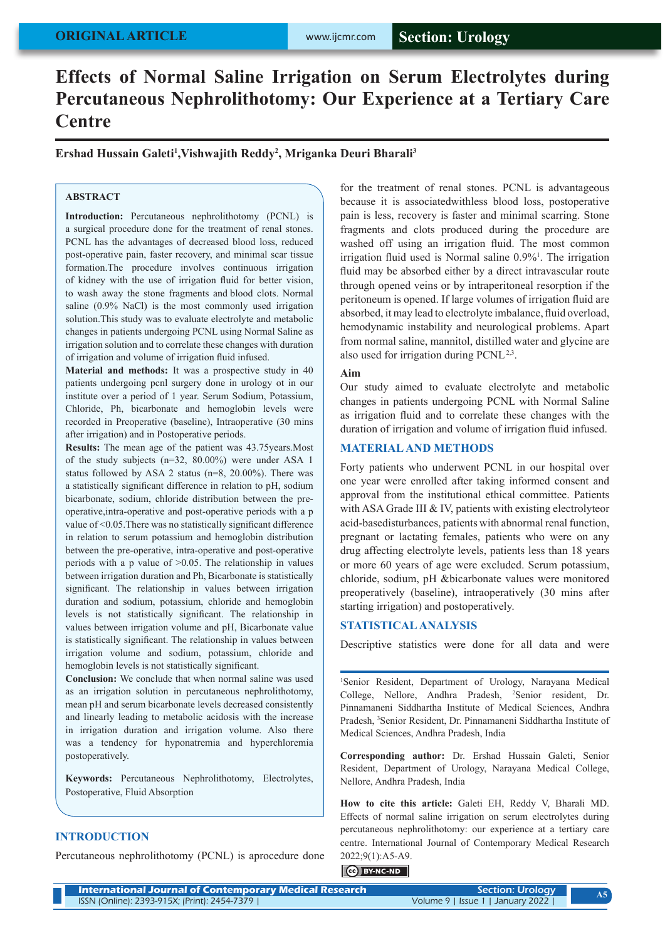# **ORIGINAL ARTICLE**

# **Effects of Normal Saline Irrigation on Serum Electrolytes during Percutaneous Nephrolithotomy: Our Experience at a Tertiary Care Centre**

**Ershad Hussain Galeti1 ,Vishwajith Reddy2 , Mriganka Deuri Bharali3**

### **ABSTRACT**

**Introduction:** Percutaneous nephrolithotomy (PCNL) is a surgical procedure done for the treatment of renal stones. PCNL has the advantages of decreased blood loss, reduced post-operative pain, faster recovery, and minimal scar tissue formation.The procedure involves continuous irrigation of kidney with the use of irrigation fluid for better vision, to wash away the stone fragments and blood clots. Normal saline (0.9% NaCl) is the most commonly used irrigation solution.This study was to evaluate electrolyte and metabolic changes in patients undergoing PCNL using Normal Saline as irrigation solution and to correlate these changes with duration of irrigation and volume of irrigation fluid infused.

**Material and methods:** It was a prospective study in 40 patients undergoing pcnl surgery done in urology ot in our institute over a period of 1 year. Serum Sodium, Potassium, Chloride, Ph, bicarbonate and hemoglobin levels were recorded in Preoperative (baseline), Intraoperative (30 mins after irrigation) and in Postoperative periods.

**Results:** The mean age of the patient was 43.75years.Most of the study subjects (n=32, 80.00%) were under ASA 1 status followed by ASA 2 status (n=8, 20.00%). There was a statistically significant difference in relation to pH, sodium bicarbonate, sodium, chloride distribution between the preoperative,intra-operative and post-operative periods with a p value of <0.05.There was no statistically significant difference in relation to serum potassium and hemoglobin distribution between the pre-operative, intra-operative and post-operative periods with a p value of >0.05. The relationship in values between irrigation duration and Ph, Bicarbonate is statistically significant. The relationship in values between irrigation duration and sodium, potassium, chloride and hemoglobin levels is not statistically significant. The relationship in values between irrigation volume and pH, Bicarbonate value is statistically significant. The relationship in values between irrigation volume and sodium, potassium, chloride and hemoglobin levels is not statistically significant.

**Conclusion:** We conclude that when normal saline was used as an irrigation solution in percutaneous nephrolithotomy, mean pH and serum bicarbonate levels decreased consistently and linearly leading to metabolic acidosis with the increase in irrigation duration and irrigation volume. Also there was a tendency for hyponatremia and hyperchloremia postoperatively.

**Keywords:** Percutaneous Nephrolithotomy, Electrolytes, Postoperative, Fluid Absorption

## **INTRODUCTION**

Percutaneous nephrolithotomy (PCNL) is aprocedure done

for the treatment of renal stones. PCNL is advantageous because it is associatedwithless blood loss, postoperative pain is less, recovery is faster and minimal scarring. Stone fragments and clots produced during the procedure are washed off using an irrigation fluid. The most common irrigation fluid used is Normal saline 0.9%<sup>1</sup>. The irrigation fluid may be absorbed either by a direct intravascular route through opened veins or by intraperitoneal resorption if the peritoneum is opened. If large volumes of irrigation fluid are absorbed, it may lead to electrolyte imbalance, fluid overload, hemodynamic instability and neurological problems. Apart from normal saline, mannitol, distilled water and glycine are also used for irrigation during  $PCNL^{2,3}$ .

## **Aim**

Our study aimed to evaluate electrolyte and metabolic changes in patients undergoing PCNL with Normal Saline as irrigation fluid and to correlate these changes with the duration of irrigation and volume of irrigation fluid infused.

### **MATERIAL AND METHODS**

Forty patients who underwent PCNL in our hospital over one year were enrolled after taking informed consent and approval from the institutional ethical committee. Patients with ASA Grade III & IV, patients with existing electrolyte or acid-basedisturbances, patients with abnormal renal function, pregnant or lactating females, patients who were on any drug affecting electrolyte levels, patients less than 18 years or more 60 years of age were excluded. Serum potassium, chloride, sodium, pH &bicarbonate values were monitored preoperatively (baseline), intraoperatively (30 mins after starting irrigation) and postoperatively.

#### **STATISTICAL ANALYSIS**

Descriptive statistics were done for all data and were

1 Senior Resident, Department of Urology, Narayana Medical College, Nellore, Andhra Pradesh, 2 Senior resident, Dr. Pinnamaneni Siddhartha Institute of Medical Sciences, Andhra Pradesh, <sup>3</sup>Senior Resident, Dr. Pinnamaneni Siddhartha Institute of Medical Sciences, Andhra Pradesh, India

**Corresponding author:** Dr. Ershad Hussain Galeti, Senior Resident, Department of Urology, Narayana Medical College, Nellore, Andhra Pradesh, India

**How to cite this article:** Galeti EH, Reddy V, Bharali MD. Effects of normal saline irrigation on serum electrolytes during percutaneous nephrolithotomy: our experience at a tertiary care centre. International Journal of Contemporary Medical Research 2022;9(1):A5-A9.

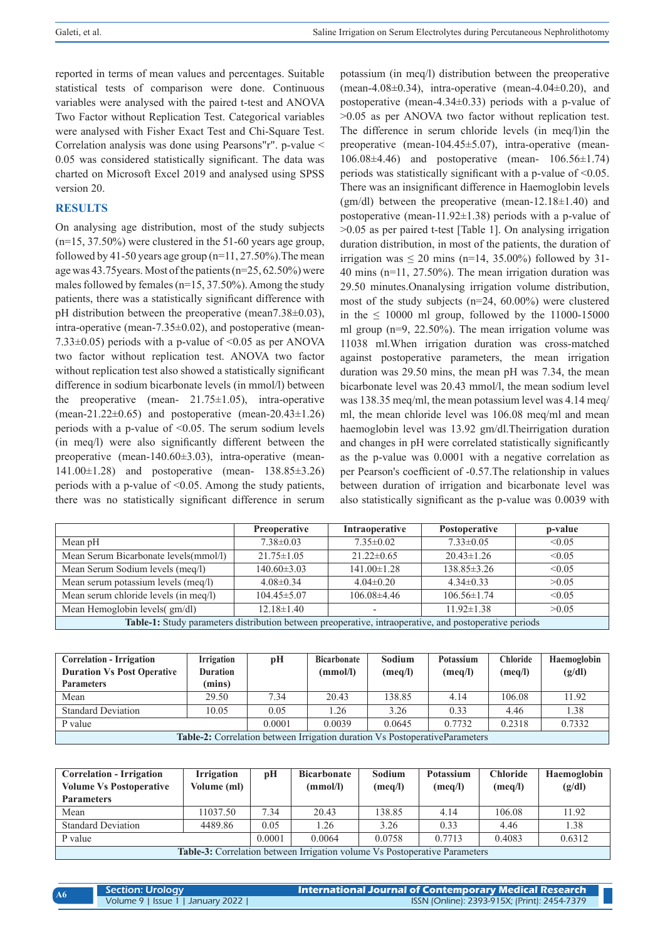reported in terms of mean values and percentages. Suitable statistical tests of comparison were done. Continuous variables were analysed with the paired t-test and ANOVA Two Factor without Replication Test. Categorical variables were analysed with Fisher Exact Test and Chi-Square Test. Correlation analysis was done using Pearsons"r". p-value < 0.05 was considered statistically significant. The data was charted on Microsoft Excel 2019 and analysed using SPSS version 20.

## **RESULTS**

On analysing age distribution, most of the study subjects (n=15, 37.50%) were clustered in the 51-60 years age group, followed by 41-50 years age group  $(n=11, 27.50\%)$ . The mean age was 43.75years. Most of the patients (n=25, 62.50%) were males followed by females ( $n=15, 37.50\%$ ). Among the study patients, there was a statistically significant difference with pH distribution between the preoperative (mean7.38±0.03), intra-operative (mean-7.35±0.02), and postoperative (mean-7.33 $\pm$ 0.05) periods with a p-value of <0.05 as per ANOVA two factor without replication test. ANOVA two factor without replication test also showed a statistically significant difference in sodium bicarbonate levels (in mmol/l) between the preoperative (mean-  $21.75 \pm 1.05$ ), intra-operative (mean-21.22 $\pm$ 0.65) and postoperative (mean-20.43 $\pm$ 1.26) periods with a p-value of <0.05. The serum sodium levels (in meq/l) were also significantly different between the preoperative (mean-140.60±3.03), intra-operative (mean-141.00±1.28) and postoperative (mean- 138.85±3.26) periods with a p-value of  $\leq 0.05$ . Among the study patients, there was no statistically significant difference in serum

potassium (in meq/l) distribution between the preoperative (mean-4.08 $\pm$ 0.34), intra-operative (mean-4.04 $\pm$ 0.20), and postoperative (mean-4.34±0.33) periods with a p-value of >0.05 as per ANOVA two factor without replication test. The difference in serum chloride levels (in meq/l)in the preoperative (mean-104.45±5.07), intra-operative (mean-106.08±4.46) and postoperative (mean- 106.56±1.74) periods was statistically significant with a p-value of  $\leq 0.05$ . There was an insignificant difference in Haemoglobin levels (gm/dl) between the preoperative (mean-12.18 $\pm$ 1.40) and postoperative (mean-11.92±1.38) periods with a p-value of >0.05 as per paired t-test [Table 1]. On analysing irrigation duration distribution, in most of the patients, the duration of irrigation was  $\leq 20$  mins (n=14, 35.00%) followed by 31-40 mins (n=11, 27.50%). The mean irrigation duration was 29.50 minutes.Onanalysing irrigation volume distribution, most of the study subjects (n=24, 60.00%) were clustered in the  $\leq 10000$  ml group, followed by the 11000-15000 ml group (n=9, 22.50%). The mean irrigation volume was 11038 ml.When irrigation duration was cross-matched against postoperative parameters, the mean irrigation duration was 29.50 mins, the mean pH was 7.34, the mean bicarbonate level was 20.43 mmol/l, the mean sodium level was 138.35 meq/ml, the mean potassium level was 4.14 meq/ ml, the mean chloride level was 106.08 meq/ml and mean haemoglobin level was 13.92 gm/dl.Theirrigation duration and changes in pH were correlated statistically significantly as the p-value was 0.0001 with a negative correlation as per Pearson's coefficient of -0.57.The relationship in values between duration of irrigation and bicarbonate level was also statistically significant as the p-value was 0.0039 with

|                                                                                                        | <b>Preoperative</b> | Intraoperative    | Postoperative     | p-value |  |
|--------------------------------------------------------------------------------------------------------|---------------------|-------------------|-------------------|---------|--|
| Mean pH                                                                                                | $7.38 \pm 0.03$     | $7.35\pm0.02$     | $7.33 \pm 0.05$   | < 0.05  |  |
| Mean Serum Bicarbonate levels(mmol/l)                                                                  | $21.75 \pm 1.05$    | $21.22 \pm 0.65$  | $20.43 \pm 1.26$  | < 0.05  |  |
| Mean Serum Sodium levels (meq/l)                                                                       | $140.60 \pm 3.03$   | $141.00 \pm 1.28$ | $138.85 \pm 3.26$ | < 0.05  |  |
| Mean serum potassium levels (meq/l)                                                                    | $4.08\pm0.34$       | $4.04\pm0.20$     | $4.34\pm0.33$     | >0.05   |  |
| Mean serum chloride levels (in meq/l)                                                                  | $104.45 \pm 5.07$   | $106.08\pm4.46$   | $106.56 \pm 1.74$ | < 0.05  |  |
| Mean Hemoglobin levels( gm/dl)<br>$12.18 \pm 1.40$<br>$11.92 \pm 1.38$<br>>0.05                        |                     |                   |                   |         |  |
| Table-1: Study parameters distribution between preoperative, intraoperative, and postoperative periods |                     |                   |                   |         |  |

| <b>Correlation - Irrigation</b><br><b>Duration Vs Post Operative</b><br><b>Parameters</b> | <b>Irrigation</b><br><b>Duration</b><br>(mins) | рH   | <b>Bicarbonate</b><br>(mmol/l) | Sodium<br>(meq/l) | <b>Potassium</b><br>(meq/l) | <b>Chloride</b><br>(meq/l) | Haemoglobin<br>(g/dl) |
|-------------------------------------------------------------------------------------------|------------------------------------------------|------|--------------------------------|-------------------|-----------------------------|----------------------------|-----------------------|
| Mean                                                                                      | 29.50                                          | 7.34 | 20.43                          | 138.85            | 4.14                        | 106.08                     | 11.92                 |
| <b>Standard Deviation</b>                                                                 | 10.05                                          | 0.05 | 1.26                           | 3.26              | 0.33                        | 4.46                       | 1.38                  |
| 0.2318<br>0.7332<br>0.7732<br>0.0001<br>0.0039<br>0.0645<br>P value                       |                                                |      |                                |                   |                             |                            |                       |
| Table-2: Correlation between Irrigation duration Vs PostoperativeParameters               |                                                |      |                                |                   |                             |                            |                       |

| <b>Correlation - Irrigation</b><br><b>Volume Vs Postoperative</b>          | <b>Irrigation</b><br>Volume (ml) | рH   | <b>Bicarbonate</b><br>(mmol/l) | Sodium<br>(meq/l) | Potassium<br>(meq/l) | <b>Chloride</b><br>(meq/l) | Haemoglobin<br>(g/dl) |
|----------------------------------------------------------------------------|----------------------------------|------|--------------------------------|-------------------|----------------------|----------------------------|-----------------------|
| <b>Parameters</b>                                                          |                                  |      |                                |                   |                      |                            |                       |
| Mean                                                                       | 11037.50                         | 7.34 | 20.43                          | 138.85            | 4.14                 | 106.08                     | 11.92                 |
| <b>Standard Deviation</b>                                                  | 4489.86                          | 0.05 | 1.26                           | 3.26              | 0.33                 | 4.46                       | 1.38                  |
| 0.0001<br>0.6312<br>P value<br>0.0064<br>0.0758<br>0.4083<br>0.7713        |                                  |      |                                |                   |                      |                            |                       |
| Table-3: Correlation between Irrigation volume Vs Postoperative Parameters |                                  |      |                                |                   |                      |                            |                       |

| A6 | Section: Urology                  | <b>International Journal of Contemporary Medical Research</b> |  |  |  |  |
|----|-----------------------------------|---------------------------------------------------------------|--|--|--|--|
|    | Volume 9   Issue 1   January 2022 | ISSN (Online): 2393-915X; (Print): 2454-7379                  |  |  |  |  |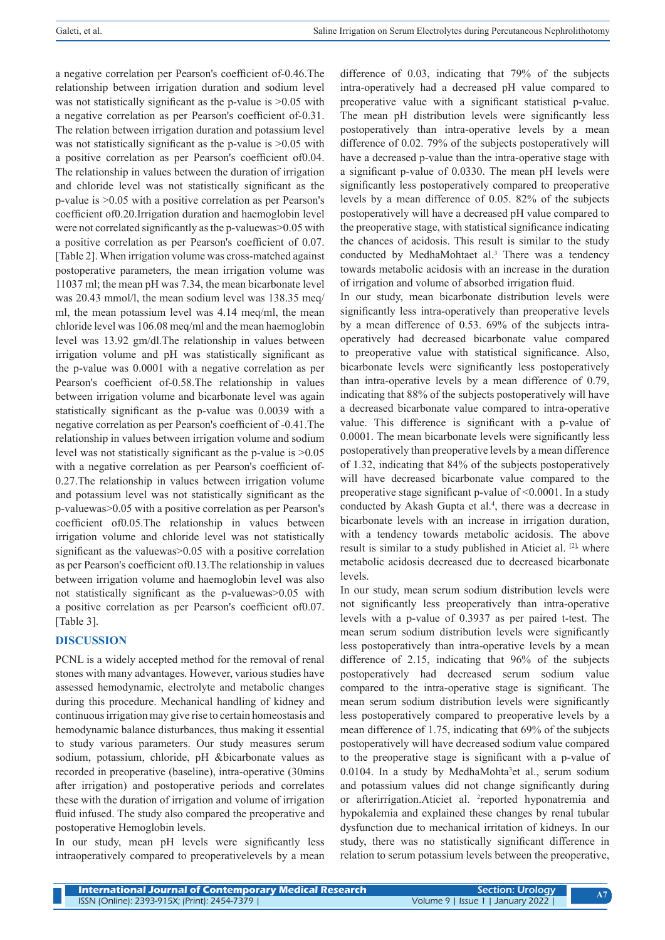a negative correlation per Pearson's coefficient of-0.46.The relationship between irrigation duration and sodium level was not statistically significant as the p-value is  $>0.05$  with a negative correlation as per Pearson's coefficient of-0.31. The relation between irrigation duration and potassium level was not statistically significant as the p-value is  $>0.05$  with a positive correlation as per Pearson's coefficient of0.04. The relationship in values between the duration of irrigation and chloride level was not statistically significant as the p-value is >0.05 with a positive correlation as per Pearson's coefficient of0.20.Irrigation duration and haemoglobin level were not correlated significantly as the p-valuewas>0.05 with a positive correlation as per Pearson's coefficient of 0.07. [Table 2]. When irrigation volume was cross-matched against postoperative parameters, the mean irrigation volume was 11037 ml; the mean pH was 7.34, the mean bicarbonate level was 20.43 mmol/l, the mean sodium level was 138.35 meq/ ml, the mean potassium level was 4.14 meq/ml, the mean chloride level was 106.08 meq/ml and the mean haemoglobin level was 13.92 gm/dl.The relationship in values between irrigation volume and pH was statistically significant as the p-value was 0.0001 with a negative correlation as per Pearson's coefficient of-0.58.The relationship in values between irrigation volume and bicarbonate level was again statistically significant as the p-value was 0.0039 with a negative correlation as per Pearson's coefficient of -0.41.The relationship in values between irrigation volume and sodium level was not statistically significant as the p-value is >0.05 with a negative correlation as per Pearson's coefficient of-0.27.The relationship in values between irrigation volume and potassium level was not statistically significant as the p-valuewas>0.05 with a positive correlation as per Pearson's coefficient of0.05.The relationship in values between irrigation volume and chloride level was not statistically significant as the valuewas  $> 0.05$  with a positive correlation as per Pearson's coefficient of0.13.The relationship in values between irrigation volume and haemoglobin level was also not statistically significant as the p-valuewas>0.05 with a positive correlation as per Pearson's coefficient of0.07. [Table 3].

# **DISCUSSION**

PCNL is a widely accepted method for the removal of renal stones with many advantages. However, various studies have assessed hemodynamic, electrolyte and metabolic changes during this procedure. Mechanical handling of kidney and continuous irrigation may give rise to certain homeostasis and hemodynamic balance disturbances, thus making it essential to study various parameters. Our study measures serum sodium, potassium, chloride, pH &bicarbonate values as recorded in preoperative (baseline), intra-operative (30mins after irrigation) and postoperative periods and correlates these with the duration of irrigation and volume of irrigation fluid infused. The study also compared the preoperative and postoperative Hemoglobin levels.

In our study, mean pH levels were significantly less intraoperatively compared to preoperativelevels by a mean difference of 0.03, indicating that 79% of the subjects intra-operatively had a decreased pH value compared to preoperative value with a significant statistical p-value. The mean pH distribution levels were significantly less postoperatively than intra-operative levels by a mean difference of 0.02. 79% of the subjects postoperatively will have a decreased p-value than the intra-operative stage with a significant p-value of 0.0330. The mean pH levels were significantly less postoperatively compared to preoperative levels by a mean difference of 0.05. 82% of the subjects postoperatively will have a decreased pH value compared to the preoperative stage, with statistical significance indicating the chances of acidosis. This result is similar to the study conducted by MedhaMohtaet al.<sup>3</sup> There was a tendency towards metabolic acidosis with an increase in the duration of irrigation and volume of absorbed irrigation fluid.

In our study, mean bicarbonate distribution levels were significantly less intra-operatively than preoperative levels by a mean difference of 0.53. 69% of the subjects intraoperatively had decreased bicarbonate value compared to preoperative value with statistical significance. Also, bicarbonate levels were significantly less postoperatively than intra-operative levels by a mean difference of 0.79, indicating that 88% of the subjects postoperatively will have a decreased bicarbonate value compared to intra-operative value. This difference is significant with a p-value of 0.0001. The mean bicarbonate levels were significantly less postoperatively than preoperative levels by a mean difference of 1.32, indicating that 84% of the subjects postoperatively will have decreased bicarbonate value compared to the preoperative stage significant p-value of <0.0001. In a study conducted by Akash Gupta et al.<sup>4</sup>, there was a decrease in bicarbonate levels with an increase in irrigation duration, with a tendency towards metabolic acidosis. The above result is similar to a study published in Aticiet al. [2], where metabolic acidosis decreased due to decreased bicarbonate levels.

In our study, mean serum sodium distribution levels were not significantly less preoperatively than intra-operative levels with a p-value of 0.3937 as per paired t-test. The mean serum sodium distribution levels were significantly less postoperatively than intra-operative levels by a mean difference of 2.15, indicating that 96% of the subjects postoperatively had decreased serum sodium value compared to the intra-operative stage is significant. The mean serum sodium distribution levels were significantly less postoperatively compared to preoperative levels by a mean difference of 1.75, indicating that 69% of the subjects postoperatively will have decreased sodium value compared to the preoperative stage is significant with a p-value of 0.0104. In a study by MedhaMohta<sup>3</sup>et al., serum sodium and potassium values did not change significantly during or afterirrigation. Aticiet al. <sup>2</sup>reported hyponatremia and hypokalemia and explained these changes by renal tubular dysfunction due to mechanical irritation of kidneys. In our study, there was no statistically significant difference in relation to serum potassium levels between the preoperative,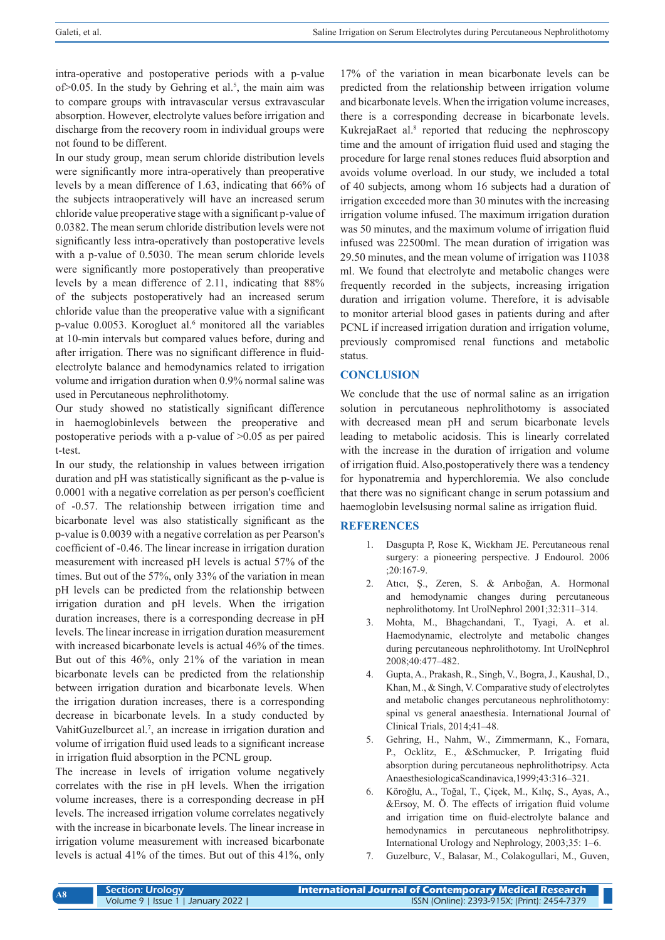intra-operative and postoperative periods with a p-value  $of$  $> 0.05$ . In the study by Gehring et al.<sup>5</sup>, the main aim was to compare groups with intravascular versus extravascular absorption. However, electrolyte values before irrigation and discharge from the recovery room in individual groups were not found to be different.

In our study group, mean serum chloride distribution levels were significantly more intra-operatively than preoperative levels by a mean difference of 1.63, indicating that 66% of the subjects intraoperatively will have an increased serum chloride value preoperative stage with a significant p-value of 0.0382. The mean serum chloride distribution levels were not significantly less intra-operatively than postoperative levels with a p-value of 0.5030. The mean serum chloride levels were significantly more postoperatively than preoperative levels by a mean difference of 2.11, indicating that 88% of the subjects postoperatively had an increased serum chloride value than the preoperative value with a significant p-value 0.0053. Korogluet al.<sup>6</sup> monitored all the variables at 10-min intervals but compared values before, during and after irrigation. There was no significant difference in fluidelectrolyte balance and hemodynamics related to irrigation volume and irrigation duration when 0.9% normal saline was used in Percutaneous nephrolithotomy.

Our study showed no statistically significant difference in haemoglobinlevels between the preoperative and postoperative periods with a p-value of >0.05 as per paired t-test.

In our study, the relationship in values between irrigation duration and pH was statistically significant as the p-value is 0.0001 with a negative correlation as per person's coefficient of -0.57. The relationship between irrigation time and bicarbonate level was also statistically significant as the p-value is 0.0039 with a negative correlation as per Pearson's coefficient of -0.46. The linear increase in irrigation duration measurement with increased pH levels is actual 57% of the times. But out of the 57%, only 33% of the variation in mean pH levels can be predicted from the relationship between irrigation duration and pH levels. When the irrigation duration increases, there is a corresponding decrease in pH levels. The linear increase in irrigation duration measurement with increased bicarbonate levels is actual 46% of the times. But out of this 46%, only 21% of the variation in mean bicarbonate levels can be predicted from the relationship between irrigation duration and bicarbonate levels. When the irrigation duration increases, there is a corresponding decrease in bicarbonate levels. In a study conducted by VahitGuzelburcet al.<sup>7</sup>, an increase in irrigation duration and volume of irrigation fluid used leads to a significant increase in irrigation fluid absorption in the PCNL group.

The increase in levels of irrigation volume negatively correlates with the rise in pH levels. When the irrigation volume increases, there is a corresponding decrease in pH levels. The increased irrigation volume correlates negatively with the increase in bicarbonate levels. The linear increase in irrigation volume measurement with increased bicarbonate levels is actual 41% of the times. But out of this 41%, only

17% of the variation in mean bicarbonate levels can be predicted from the relationship between irrigation volume and bicarbonate levels. When the irrigation volume increases, there is a corresponding decrease in bicarbonate levels. KukrejaRaet al.<sup>8</sup> reported that reducing the nephroscopy time and the amount of irrigation fluid used and staging the procedure for large renal stones reduces fluid absorption and avoids volume overload. In our study, we included a total of 40 subjects, among whom 16 subjects had a duration of irrigation exceeded more than 30 minutes with the increasing irrigation volume infused. The maximum irrigation duration was 50 minutes, and the maximum volume of irrigation fluid infused was 22500ml. The mean duration of irrigation was 29.50 minutes, and the mean volume of irrigation was 11038 ml. We found that electrolyte and metabolic changes were frequently recorded in the subjects, increasing irrigation duration and irrigation volume. Therefore, it is advisable to monitor arterial blood gases in patients during and after PCNL if increased irrigation duration and irrigation volume, previously compromised renal functions and metabolic status.

# **CONCLUSION**

We conclude that the use of normal saline as an irrigation solution in percutaneous nephrolithotomy is associated with decreased mean pH and serum bicarbonate levels leading to metabolic acidosis. This is linearly correlated with the increase in the duration of irrigation and volume of irrigation fluid. Also,postoperatively there was a tendency for hyponatremia and hyperchloremia. We also conclude that there was no significant change in serum potassium and haemoglobin levelsusing normal saline as irrigation fluid.

# **REFERENCES**

- 1. Dasgupta P, Rose K, Wickham JE. Percutaneous renal surgery: a pioneering perspective. J Endourol. 2006 ;20:167-9.
- 2. Atıcı, Ş., Zeren, S. & Arıboğan, A. Hormonal and hemodynamic changes during percutaneous nephrolithotomy. Int UrolNephrol 2001;32:311–314.
- 3. Mohta, M., Bhagchandani, T., Tyagi, A. et al. Haemodynamic, electrolyte and metabolic changes during percutaneous nephrolithotomy. Int UrolNephrol 2008;40:477–482.
- 4. Gupta, A., Prakash, R., Singh, V., Bogra, J., Kaushal, D., Khan, M., & Singh, V. Comparative study of electrolytes and metabolic changes percutaneous nephrolithotomy: spinal vs general anaesthesia. International Journal of Clinical Trials, 2014;41–48.
- 5. Gehring, H., Nahm, W., Zimmermann, K., Fornara, P., Ocklitz, E., &Schmucker, P. Irrigating fluid absorption during percutaneous nephrolithotripsy. Acta AnaesthesiologicaScandinavica,1999;43:316–321.
- 6. Köroğlu, A., Toğal, T., Çiçek, M., Kılıç, S., Ayas, A., &Ersoy, M. Ö. The effects of irrigation fluid volume and irrigation time on fluid-electrolyte balance and hemodynamics in percutaneous nephrolithotripsy. International Urology and Nephrology, 2003;35: 1–6.
- 7. Guzelburc, V., Balasar, M., Colakogullari, M., Guven,